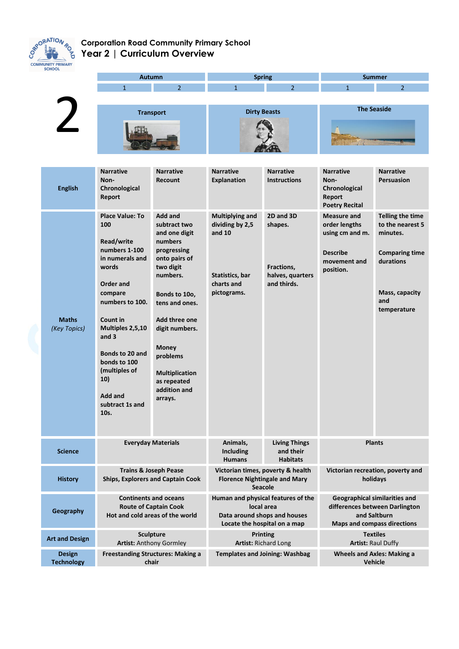

## **Corporation Road Community Primary School Year 2 | Curriculum Overview**

| <b>SCHOOL</b>                      |                                                                                                                                                                                                                                                                                 |                                                                                                                                                                                                                                                                                          |                                                                                                                  |                                                                       |                                                                                                                              |                                                                                                                                       |
|------------------------------------|---------------------------------------------------------------------------------------------------------------------------------------------------------------------------------------------------------------------------------------------------------------------------------|------------------------------------------------------------------------------------------------------------------------------------------------------------------------------------------------------------------------------------------------------------------------------------------|------------------------------------------------------------------------------------------------------------------|-----------------------------------------------------------------------|------------------------------------------------------------------------------------------------------------------------------|---------------------------------------------------------------------------------------------------------------------------------------|
|                                    | <b>Autumn</b>                                                                                                                                                                                                                                                                   |                                                                                                                                                                                                                                                                                          | <b>Spring</b>                                                                                                    |                                                                       | <b>Summer</b>                                                                                                                |                                                                                                                                       |
|                                    | $\mathbf{1}$                                                                                                                                                                                                                                                                    | $\overline{2}$                                                                                                                                                                                                                                                                           | $\mathbf{1}$                                                                                                     | $\overline{2}$                                                        | $\mathbf{1}$                                                                                                                 | $\overline{2}$                                                                                                                        |
|                                    |                                                                                                                                                                                                                                                                                 |                                                                                                                                                                                                                                                                                          |                                                                                                                  |                                                                       |                                                                                                                              |                                                                                                                                       |
|                                    | <b>Transport</b>                                                                                                                                                                                                                                                                |                                                                                                                                                                                                                                                                                          | <b>Dirty Beasts</b>                                                                                              |                                                                       | <b>The Seaside</b>                                                                                                           |                                                                                                                                       |
|                                    |                                                                                                                                                                                                                                                                                 |                                                                                                                                                                                                                                                                                          |                                                                                                                  |                                                                       |                                                                                                                              |                                                                                                                                       |
| <b>English</b>                     | <b>Narrative</b><br>Non-<br>Chronological<br><b>Report</b>                                                                                                                                                                                                                      | <b>Narrative</b><br><b>Recount</b>                                                                                                                                                                                                                                                       | <b>Narrative</b><br><b>Explanation</b>                                                                           | <b>Narrative</b><br><b>Instructions</b>                               | <b>Narrative</b><br>Non-<br>Chronological<br><b>Report</b><br><b>Poetry Recital</b>                                          | <b>Narrative</b><br><b>Persuasion</b>                                                                                                 |
| <b>Maths</b><br>(Key Topics)       | <b>Place Value: To</b><br>100<br>Read/write<br>numbers 1-100<br>in numerals and<br>words<br>Order and<br>compare<br>numbers to 100.<br>Count in<br>Multiples 2,5,10<br>and $3$<br>Bonds to 20 and<br>bonds to 100<br>(multiples of<br>10)<br>Add and<br>subtract 1s and<br>10s. | <b>Add and</b><br>subtract two<br>and one digit<br>numbers<br>progressing<br>onto pairs of<br>two digit<br>numbers.<br>Bonds to 10o,<br>tens and ones.<br>Add three one<br>digit numbers.<br><b>Money</b><br>problems<br><b>Multiplication</b><br>as repeated<br>addition and<br>arrays. | <b>Multiplying and</b><br>dividing by 2,5<br>and $10$<br>Statistics, bar<br>charts and<br>pictograms.            | 2D and 3D<br>shapes.<br>Fractions,<br>halves, quarters<br>and thirds. | <b>Measure and</b><br>order lengths<br>using cm and m.<br><b>Describe</b><br>movement and<br>position.                       | <b>Telling the time</b><br>to the nearest 5<br>minutes.<br><b>Comparing time</b><br>durations<br>Mass, capacity<br>and<br>temperature |
| <b>Science</b>                     | <b>Everyday Materials</b>                                                                                                                                                                                                                                                       |                                                                                                                                                                                                                                                                                          | Animals,<br><b>Including</b><br><b>Humans</b>                                                                    | <b>Living Things</b><br>and their<br><b>Habitats</b>                  | <b>Plants</b>                                                                                                                |                                                                                                                                       |
| <b>History</b>                     | <b>Trains &amp; Joseph Pease</b><br><b>Ships, Explorers and Captain Cook</b>                                                                                                                                                                                                    |                                                                                                                                                                                                                                                                                          | Victorian times, poverty & health<br><b>Florence Nightingale and Mary</b><br>Seacole                             |                                                                       | Victorian recreation, poverty and<br>holidays                                                                                |                                                                                                                                       |
| Geography                          | <b>Continents and oceans</b><br><b>Route of Captain Cook</b><br>Hot and cold areas of the world                                                                                                                                                                                 |                                                                                                                                                                                                                                                                                          | Human and physical features of the<br>local area<br>Data around shops and houses<br>Locate the hospital on a map |                                                                       | <b>Geographical similarities and</b><br>differences between Darlington<br>and Saltburn<br><b>Maps and compass directions</b> |                                                                                                                                       |
| <b>Art and Design</b>              | <b>Sculpture</b><br><b>Artist: Anthony Gormley</b>                                                                                                                                                                                                                              |                                                                                                                                                                                                                                                                                          | <b>Printing</b><br><b>Artist: Richard Long</b>                                                                   |                                                                       | <b>Textiles</b><br><b>Artist: Raul Duffy</b>                                                                                 |                                                                                                                                       |
| <b>Design</b><br><b>Technology</b> | <b>Freestanding Structures: Making a</b><br>chair                                                                                                                                                                                                                               |                                                                                                                                                                                                                                                                                          | <b>Templates and Joining: Washbag</b>                                                                            |                                                                       | <b>Wheels and Axles: Making a</b><br><b>Vehicle</b>                                                                          |                                                                                                                                       |